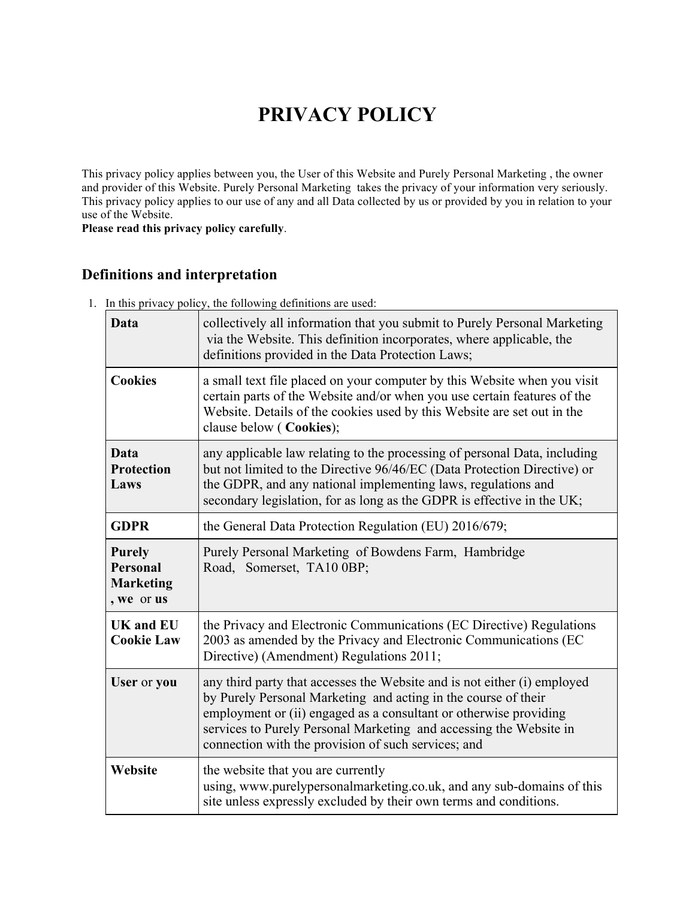# **PRIVACY POLICY**

This privacy policy applies between you, the User of this Website and Purely Personal Marketing , the owner and provider of this Website. Purely Personal Marketing takes the privacy of your information very seriously. This privacy policy applies to our use of any and all Data collected by us or provided by you in relation to your use of the Website.

**Please read this privacy policy carefully**.

# **Definitions and interpretation**

1. In this privacy policy, the following definitions are used:

| Data                                                        | collectively all information that you submit to Purely Personal Marketing<br>via the Website. This definition incorporates, where applicable, the<br>definitions provided in the Data Protection Laws;                                                                                                                                       |
|-------------------------------------------------------------|----------------------------------------------------------------------------------------------------------------------------------------------------------------------------------------------------------------------------------------------------------------------------------------------------------------------------------------------|
| <b>Cookies</b>                                              | a small text file placed on your computer by this Website when you visit<br>certain parts of the Website and/or when you use certain features of the<br>Website. Details of the cookies used by this Website are set out in the<br>clause below (Cookies);                                                                                   |
| Data<br><b>Protection</b><br>Laws                           | any applicable law relating to the processing of personal Data, including<br>but not limited to the Directive 96/46/EC (Data Protection Directive) or<br>the GDPR, and any national implementing laws, regulations and<br>secondary legislation, for as long as the GDPR is effective in the UK;                                             |
| <b>GDPR</b>                                                 | the General Data Protection Regulation (EU) 2016/679;                                                                                                                                                                                                                                                                                        |
| <b>Purely</b><br>Personal<br><b>Marketing</b><br>, we or us | Purely Personal Marketing of Bowdens Farm, Hambridge<br>Road, Somerset, TA10 0BP;                                                                                                                                                                                                                                                            |
| <b>UK</b> and <b>EU</b><br><b>Cookie Law</b>                | the Privacy and Electronic Communications (EC Directive) Regulations<br>2003 as amended by the Privacy and Electronic Communications (EC<br>Directive) (Amendment) Regulations 2011;                                                                                                                                                         |
| User or you                                                 | any third party that accesses the Website and is not either (i) employed<br>by Purely Personal Marketing and acting in the course of their<br>employment or (ii) engaged as a consultant or otherwise providing<br>services to Purely Personal Marketing and accessing the Website in<br>connection with the provision of such services; and |
| Website                                                     | the website that you are currently<br>using, www.purelypersonalmarketing.co.uk, and any sub-domains of this<br>site unless expressly excluded by their own terms and conditions.                                                                                                                                                             |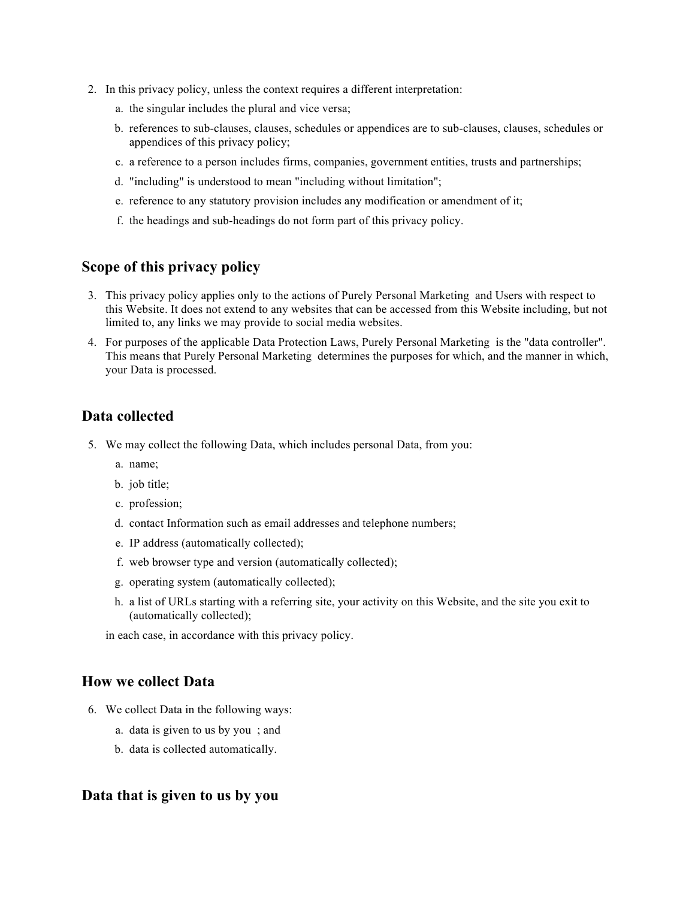- 2. In this privacy policy, unless the context requires a different interpretation:
	- a. the singular includes the plural and vice versa;
	- b. references to sub-clauses, clauses, schedules or appendices are to sub-clauses, clauses, schedules or appendices of this privacy policy;
	- c. a reference to a person includes firms, companies, government entities, trusts and partnerships;
	- d. "including" is understood to mean "including without limitation";
	- e. reference to any statutory provision includes any modification or amendment of it;
	- f. the headings and sub-headings do not form part of this privacy policy.

#### **Scope of this privacy policy**

- 3. This privacy policy applies only to the actions of Purely Personal Marketing and Users with respect to this Website. It does not extend to any websites that can be accessed from this Website including, but not limited to, any links we may provide to social media websites.
- 4. For purposes of the applicable Data Protection Laws, Purely Personal Marketing is the "data controller". This means that Purely Personal Marketing determines the purposes for which, and the manner in which, your Data is processed.

#### **Data collected**

- 5. We may collect the following Data, which includes personal Data, from you:
	- a. name;
	- b. job title;
	- c. profession;
	- d. contact Information such as email addresses and telephone numbers;
	- e. IP address (automatically collected);
	- f. web browser type and version (automatically collected);
	- g. operating system (automatically collected);
	- h. a list of URLs starting with a referring site, your activity on this Website, and the site you exit to (automatically collected);

in each case, in accordance with this privacy policy.

#### **How we collect Data**

- 6. We collect Data in the following ways:
	- a. data is given to us by you ; and
	- b. data is collected automatically.

#### **Data that is given to us by you**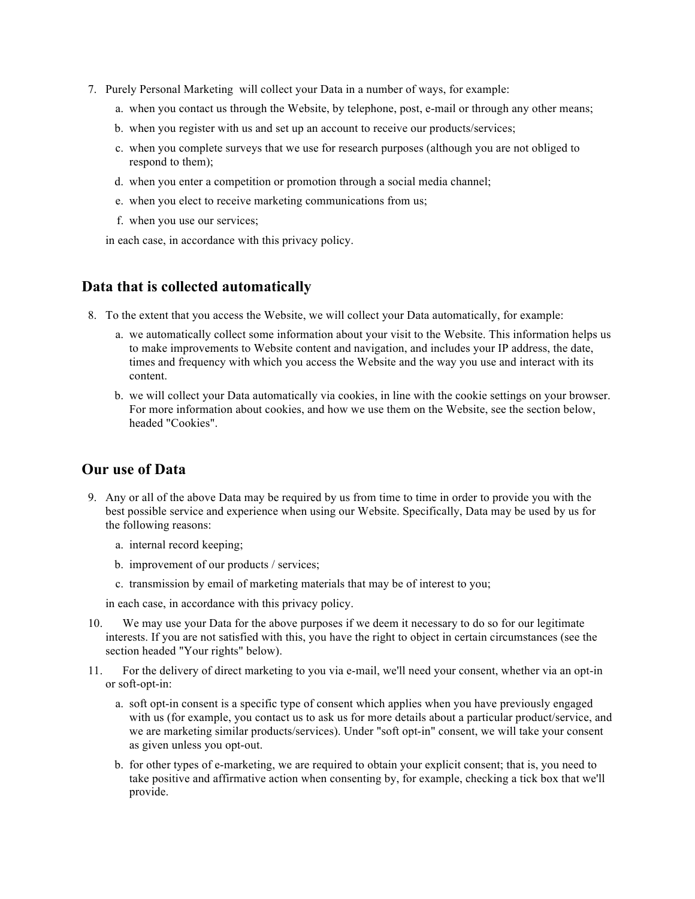- 7. Purely Personal Marketing will collect your Data in a number of ways, for example:
	- a. when you contact us through the Website, by telephone, post, e-mail or through any other means;
	- b. when you register with us and set up an account to receive our products/services;
	- c. when you complete surveys that we use for research purposes (although you are not obliged to respond to them);
	- d. when you enter a competition or promotion through a social media channel;
	- e. when you elect to receive marketing communications from us;
	- f. when you use our services;

in each case, in accordance with this privacy policy.

#### **Data that is collected automatically**

- 8. To the extent that you access the Website, we will collect your Data automatically, for example:
	- a. we automatically collect some information about your visit to the Website. This information helps us to make improvements to Website content and navigation, and includes your IP address, the date, times and frequency with which you access the Website and the way you use and interact with its content.
	- b. we will collect your Data automatically via cookies, in line with the cookie settings on your browser. For more information about cookies, and how we use them on the Website, see the section below, headed "Cookies".

#### **Our use of Data**

- 9. Any or all of the above Data may be required by us from time to time in order to provide you with the best possible service and experience when using our Website. Specifically, Data may be used by us for the following reasons:
	- a. internal record keeping;
	- b. improvement of our products / services;
	- c. transmission by email of marketing materials that may be of interest to you;

in each case, in accordance with this privacy policy.

- 10. We may use your Data for the above purposes if we deem it necessary to do so for our legitimate interests. If you are not satisfied with this, you have the right to object in certain circumstances (see the section headed "Your rights" below).
- 11. For the delivery of direct marketing to you via e-mail, we'll need your consent, whether via an opt-in or soft-opt-in:
	- a. soft opt-in consent is a specific type of consent which applies when you have previously engaged with us (for example, you contact us to ask us for more details about a particular product/service, and we are marketing similar products/services). Under "soft opt-in" consent, we will take your consent as given unless you opt-out.
	- b. for other types of e-marketing, we are required to obtain your explicit consent; that is, you need to take positive and affirmative action when consenting by, for example, checking a tick box that we'll provide.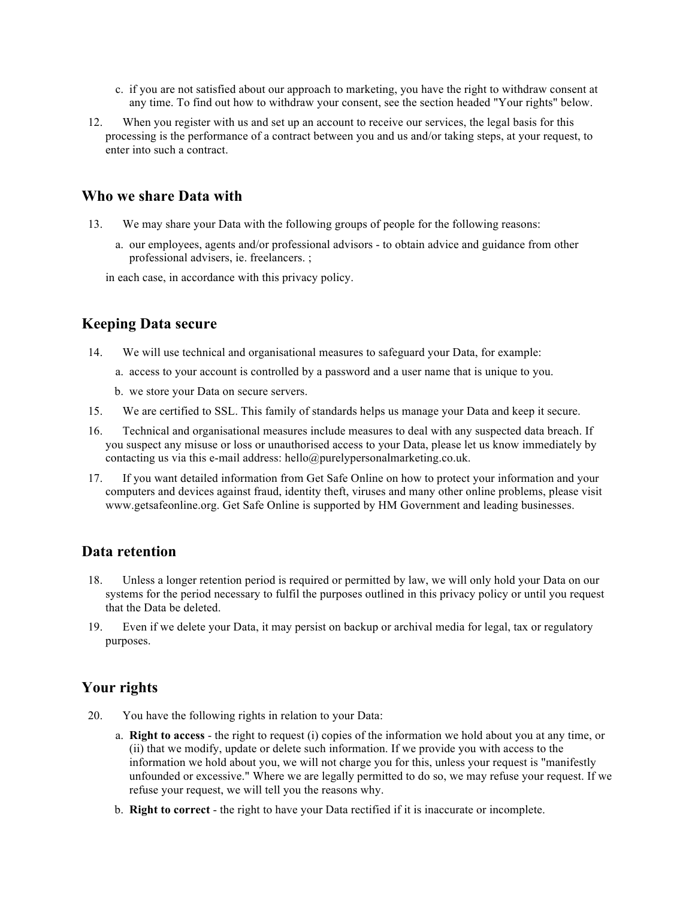- c. if you are not satisfied about our approach to marketing, you have the right to withdraw consent at any time. To find out how to withdraw your consent, see the section headed "Your rights" below.
- 12. When you register with us and set up an account to receive our services, the legal basis for this processing is the performance of a contract between you and us and/or taking steps, at your request, to enter into such a contract.

#### **Who we share Data with**

- 13. We may share your Data with the following groups of people for the following reasons:
	- a. our employees, agents and/or professional advisors to obtain advice and guidance from other professional advisers, ie. freelancers. ;

in each case, in accordance with this privacy policy.

#### **Keeping Data secure**

- 14. We will use technical and organisational measures to safeguard your Data, for example:
	- a. access to your account is controlled by a password and a user name that is unique to you.
	- b. we store your Data on secure servers.
- 15. We are certified to SSL. This family of standards helps us manage your Data and keep it secure.
- 16. Technical and organisational measures include measures to deal with any suspected data breach. If you suspect any misuse or loss or unauthorised access to your Data, please let us know immediately by contacting us via this e-mail address: hello@purelypersonalmarketing.co.uk.
- 17. If you want detailed information from Get Safe Online on how to protect your information and your computers and devices against fraud, identity theft, viruses and many other online problems, please visit www.getsafeonline.org. Get Safe Online is supported by HM Government and leading businesses.

#### **Data retention**

- 18. Unless a longer retention period is required or permitted by law, we will only hold your Data on our systems for the period necessary to fulfil the purposes outlined in this privacy policy or until you request that the Data be deleted.
- 19. Even if we delete your Data, it may persist on backup or archival media for legal, tax or regulatory purposes.

#### **Your rights**

- 20. You have the following rights in relation to your Data:
	- a. **Right to access** the right to request (i) copies of the information we hold about you at any time, or (ii) that we modify, update or delete such information. If we provide you with access to the information we hold about you, we will not charge you for this, unless your request is "manifestly unfounded or excessive." Where we are legally permitted to do so, we may refuse your request. If we refuse your request, we will tell you the reasons why.
	- b. **Right to correct** the right to have your Data rectified if it is inaccurate or incomplete.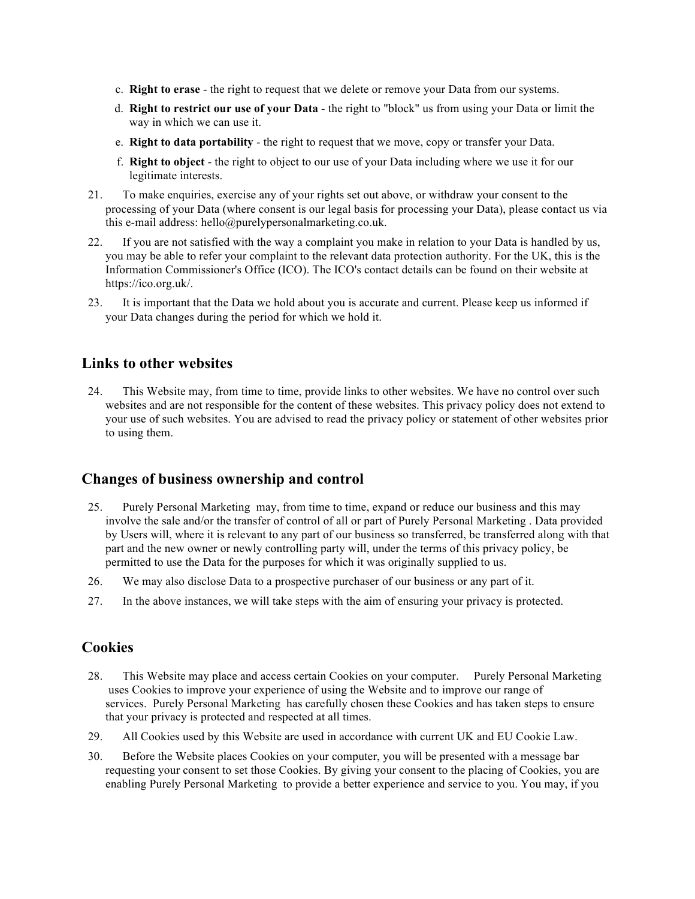- c. **Right to erase** the right to request that we delete or remove your Data from our systems.
- d. **Right to restrict our use of your Data** the right to "block" us from using your Data or limit the way in which we can use it.
- e. **Right to data portability** the right to request that we move, copy or transfer your Data.
- f. **Right to object** the right to object to our use of your Data including where we use it for our legitimate interests.
- 21. To make enquiries, exercise any of your rights set out above, or withdraw your consent to the processing of your Data (where consent is our legal basis for processing your Data), please contact us via this e-mail address: hello@purelypersonalmarketing.co.uk.
- 22. If you are not satisfied with the way a complaint you make in relation to your Data is handled by us, you may be able to refer your complaint to the relevant data protection authority. For the UK, this is the Information Commissioner's Office (ICO). The ICO's contact details can be found on their website at https://ico.org.uk/.
- 23. It is important that the Data we hold about you is accurate and current. Please keep us informed if your Data changes during the period for which we hold it.

### **Links to other websites**

24. This Website may, from time to time, provide links to other websites. We have no control over such websites and are not responsible for the content of these websites. This privacy policy does not extend to your use of such websites. You are advised to read the privacy policy or statement of other websites prior to using them.

#### **Changes of business ownership and control**

- 25. Purely Personal Marketing may, from time to time, expand or reduce our business and this may involve the sale and/or the transfer of control of all or part of Purely Personal Marketing . Data provided by Users will, where it is relevant to any part of our business so transferred, be transferred along with that part and the new owner or newly controlling party will, under the terms of this privacy policy, be permitted to use the Data for the purposes for which it was originally supplied to us.
- 26. We may also disclose Data to a prospective purchaser of our business or any part of it.
- 27. In the above instances, we will take steps with the aim of ensuring your privacy is protected.

#### **Cookies**

- 28. This Website may place and access certain Cookies on your computer. Purely Personal Marketing uses Cookies to improve your experience of using the Website and to improve our range of services. Purely Personal Marketing has carefully chosen these Cookies and has taken steps to ensure that your privacy is protected and respected at all times.
- 29. All Cookies used by this Website are used in accordance with current UK and EU Cookie Law.
- 30. Before the Website places Cookies on your computer, you will be presented with a message bar requesting your consent to set those Cookies. By giving your consent to the placing of Cookies, you are enabling Purely Personal Marketing to provide a better experience and service to you. You may, if you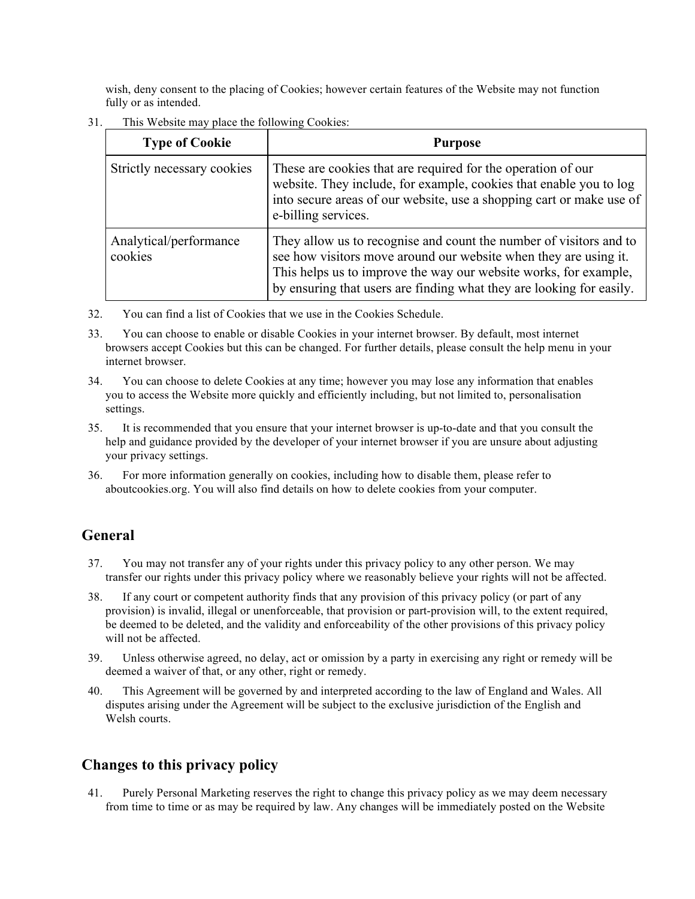wish, deny consent to the placing of Cookies; however certain features of the Website may not function fully or as intended.

31. This Website may place the following Cookies:

| <b>Type of Cookie</b>             | <b>Purpose</b>                                                                                                                                                                                                                                                                     |  |
|-----------------------------------|------------------------------------------------------------------------------------------------------------------------------------------------------------------------------------------------------------------------------------------------------------------------------------|--|
| Strictly necessary cookies        | These are cookies that are required for the operation of our<br>website. They include, for example, cookies that enable you to log<br>into secure areas of our website, use a shopping cart or make use of<br>e-billing services.                                                  |  |
| Analytical/performance<br>cookies | They allow us to recognise and count the number of visitors and to<br>see how visitors move around our website when they are using it.<br>This helps us to improve the way our website works, for example,<br>by ensuring that users are finding what they are looking for easily. |  |

- 32. You can find a list of Cookies that we use in the Cookies Schedule.
- 33. You can choose to enable or disable Cookies in your internet browser. By default, most internet browsers accept Cookies but this can be changed. For further details, please consult the help menu in your internet browser.
- 34. You can choose to delete Cookies at any time; however you may lose any information that enables you to access the Website more quickly and efficiently including, but not limited to, personalisation settings.
- 35. It is recommended that you ensure that your internet browser is up-to-date and that you consult the help and guidance provided by the developer of your internet browser if you are unsure about adjusting your privacy settings.
- 36. For more information generally on cookies, including how to disable them, please refer to aboutcookies.org. You will also find details on how to delete cookies from your computer.

# **General**

- 37. You may not transfer any of your rights under this privacy policy to any other person. We may transfer our rights under this privacy policy where we reasonably believe your rights will not be affected.
- 38. If any court or competent authority finds that any provision of this privacy policy (or part of any provision) is invalid, illegal or unenforceable, that provision or part-provision will, to the extent required, be deemed to be deleted, and the validity and enforceability of the other provisions of this privacy policy will not be affected.
- 39. Unless otherwise agreed, no delay, act or omission by a party in exercising any right or remedy will be deemed a waiver of that, or any other, right or remedy.
- 40. This Agreement will be governed by and interpreted according to the law of England and Wales. All disputes arising under the Agreement will be subject to the exclusive jurisdiction of the English and Welsh courts.

# **Changes to this privacy policy**

41. Purely Personal Marketing reserves the right to change this privacy policy as we may deem necessary from time to time or as may be required by law. Any changes will be immediately posted on the Website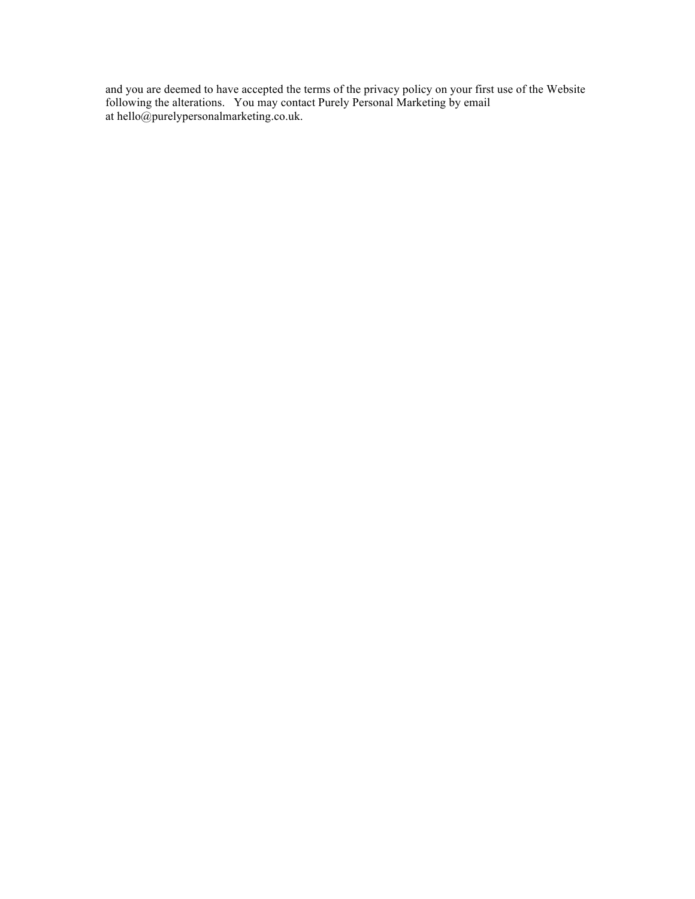and you are deemed to have accepted the terms of the privacy policy on your first use of the Website following the alterations. You may contact Purely Personal Marketing by email at hello@purelypersonalmarketing.co.uk.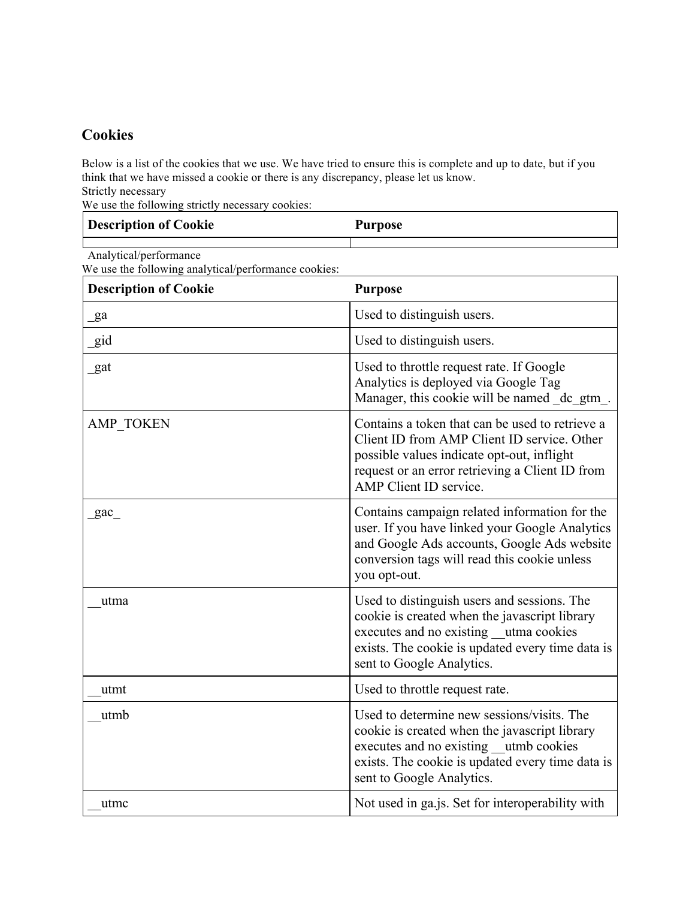# **Cookies**

Below is a list of the cookies that we use. We have tried to ensure this is complete and up to date, but if you think that we have missed a cookie or there is any discrepancy, please let us know. Strictly necessary

We use the following strictly necessary cookies:

| Description of Cookie | <b>Purpose</b> |
|-----------------------|----------------|
|                       |                |

Analytical/performance We use the following analytical/performance cookies:

| <b>Description of Cookie</b> | <b>Purpose</b>                                                                                                                                                                                                            |
|------------------------------|---------------------------------------------------------------------------------------------------------------------------------------------------------------------------------------------------------------------------|
| ga                           | Used to distinguish users.                                                                                                                                                                                                |
| gid                          | Used to distinguish users.                                                                                                                                                                                                |
| gat                          | Used to throttle request rate. If Google<br>Analytics is deployed via Google Tag<br>Manager, this cookie will be named dc gtm.                                                                                            |
| AMP TOKEN                    | Contains a token that can be used to retrieve a<br>Client ID from AMP Client ID service. Other<br>possible values indicate opt-out, inflight<br>request or an error retrieving a Client ID from<br>AMP Client ID service. |
| gac                          | Contains campaign related information for the<br>user. If you have linked your Google Analytics<br>and Google Ads accounts, Google Ads website<br>conversion tags will read this cookie unless<br>you opt-out.            |
| utma                         | Used to distinguish users and sessions. The<br>cookie is created when the javascript library<br>executes and no existing utma cookies<br>exists. The cookie is updated every time data is<br>sent to Google Analytics.    |
| utmt                         | Used to throttle request rate.                                                                                                                                                                                            |
| utmb                         | Used to determine new sessions/visits. The<br>cookie is created when the javascript library<br>executes and no existing utmb cookies<br>exists. The cookie is updated every time data is<br>sent to Google Analytics.     |
| utmc                         | Not used in ga.js. Set for interoperability with                                                                                                                                                                          |